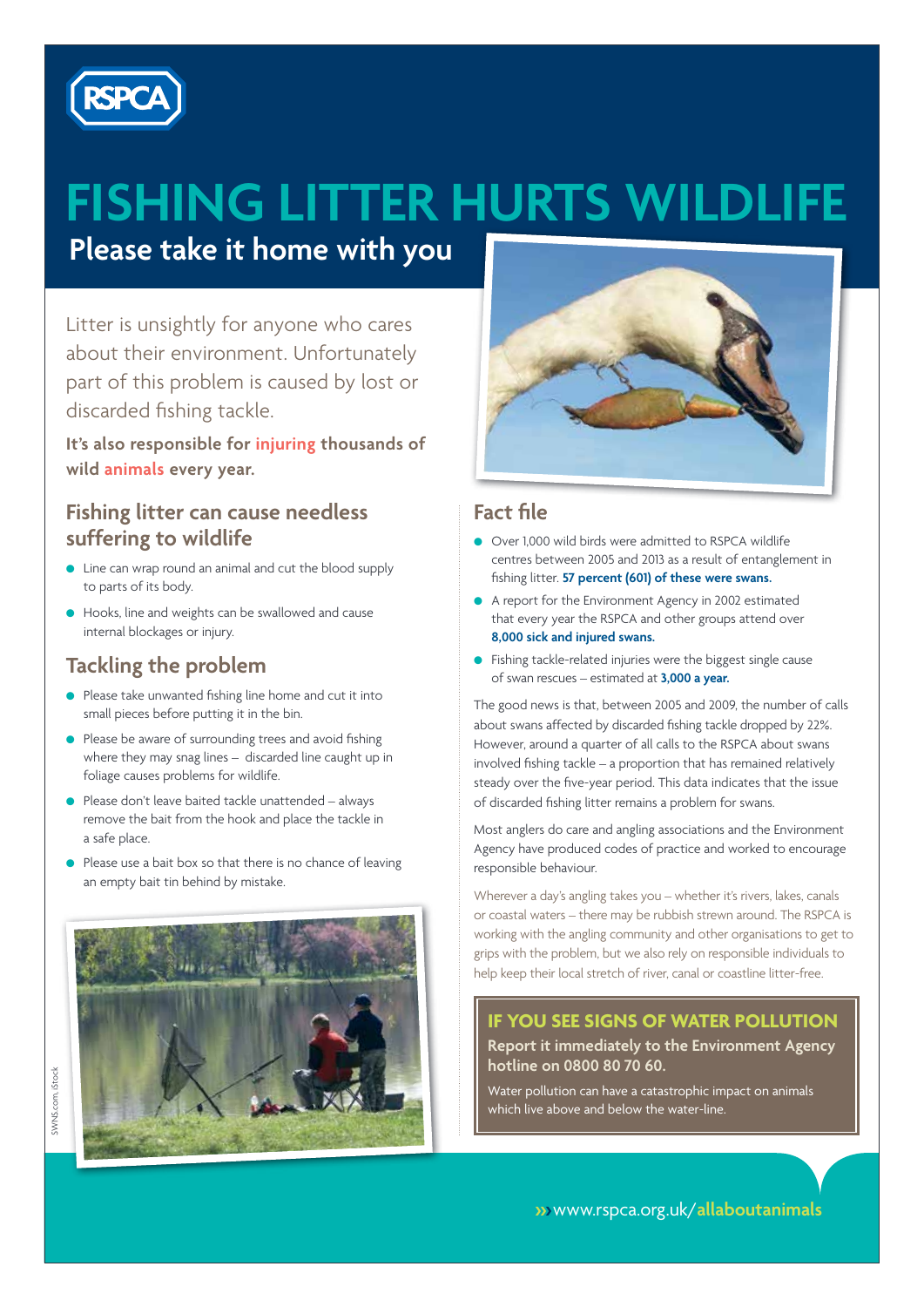

# **FISHING LITTER HURTS WILDLIFE**

**Please take it home with you**

Litter is unsightly for anyone who cares about their environment. Unfortunately part of this problem is caused by lost or discarded fishing tackle.

**It's also responsible for injuring thousands of wild animals every year.**

#### **Fishing litter can cause needless suffering to wildlife**

- Line can wrap round an animal and cut the blood supply to parts of its body.
- **•** Hooks, line and weights can be swallowed and cause internal blockages or injury.

## **Tackling the problem**

- **e** Please take unwanted fishing line home and cut it into small pieces before putting it in the bin.
- **•** Please be aware of surrounding trees and avoid fishing where they may snag lines – discarded line caught up in foliage causes problems for wildlife.
- $\bullet$  Please don't leave baited tackle unattended always remove the bait from the hook and place the tackle in a safe place.
- $\bullet$  Please use a bait box so that there is no chance of leaving an empty bait tin behind by mistake.





### **Fact file**

- Over 1,000 wild birds were admitted to RSPCA wildlife centres between 2005 and 2013 as a result of entanglement in fishing litter. **57 percent (601) of these were swans.**
- A report for the Environment Agency in 2002 estimated that every year the RSPCA and other groups attend over **8,000 sick and injured swans.**
- **•** Fishing tackle-related injuries were the biggest single cause of swan rescues – estimated at **3,000 a year.**

The good news is that, between 2005 and 2009, the number of calls about swans affected by discarded fishing tackle dropped by 22%. However, around a quarter of all calls to the RSPCA about swans involved fishing tackle – a proportion that has remained relatively steady over the five-year period. This data indicates that the issue of discarded fishing litter remains a problem for swans.

Most anglers do care and angling associations and the Environment Agency have produced codes of practice and worked to encourage responsible behaviour.

Wherever a day's angling takes you – whether it's rivers, lakes, canals or coastal waters – there may be rubbish strewn around. The RSPCA is working with the angling community and other organisations to get to grips with the problem, but we also rely on responsible individuals to help keep their local stretch of river, canal or coastline litter-free.

#### **IF YOU SEE SIGNS OF WATER POLLUTION**

**Report it immediately to the Environment Agency hotline on 0800 80 70 60.**

Water pollution can have a catastrophic impact on animals which live above and below the water-line.

��� www.rspca.org.uk/**allaboutanimals**